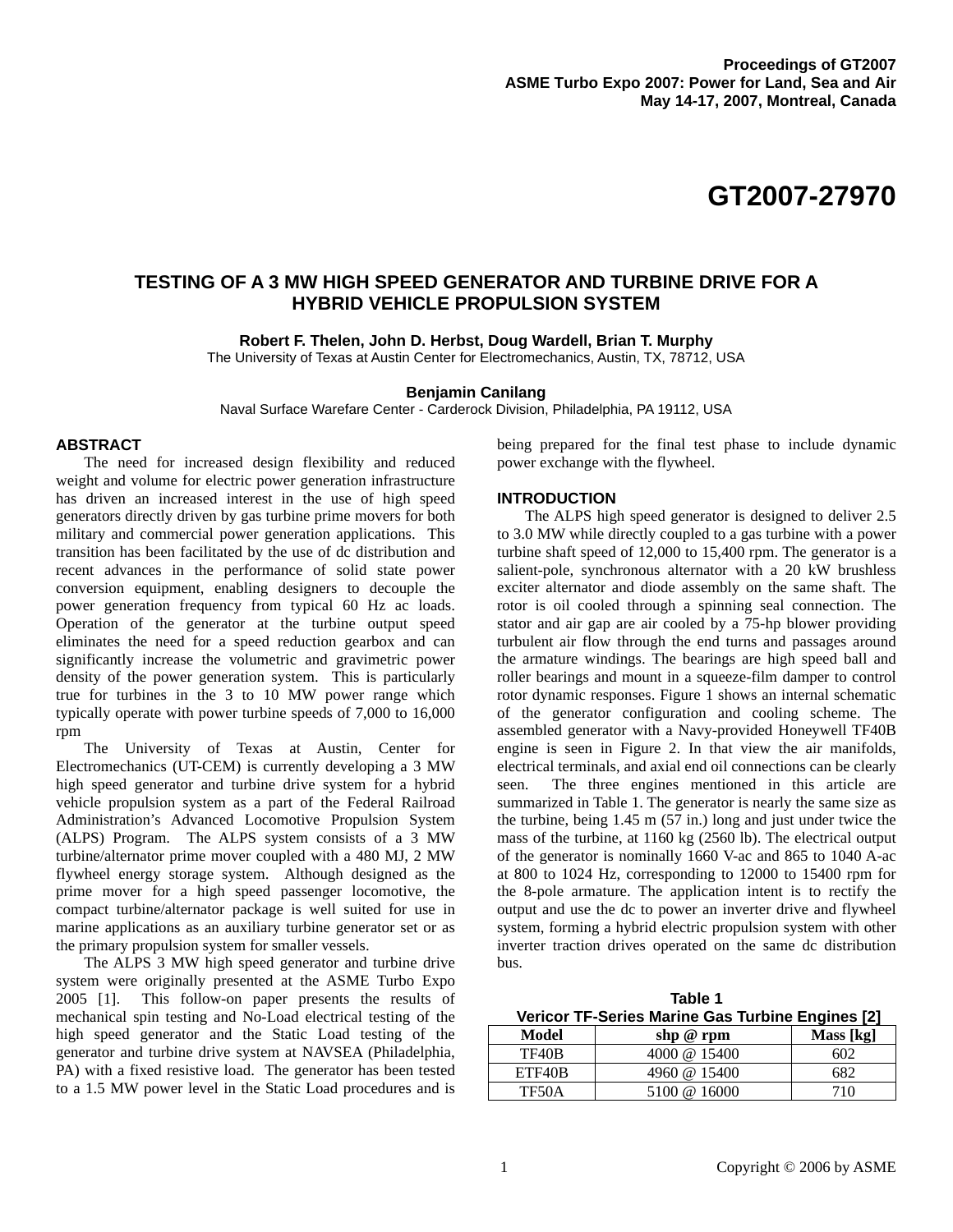# **TESTING OF A 3 MW HIGH SPEED GENERATOR AND TURBINE DRIVE FOR A HYBRID VEHICLE PROPULSION SYSTEM**

**Robert F. Thelen, John D. Herbst, Doug Wardell, Brian T. Murphy** 

The University of Texas at Austin Center for Electromechanics, Austin, TX, 78712, USA

## **Benjamin Canilang**

Naval Surface Warefare Center - Carderock Division, Philadelphia, PA 19112, USA

# **ABSTRACT**

The need for increased design flexibility and reduced weight and volume for electric power generation infrastructure has driven an increased interest in the use of high speed generators directly driven by gas turbine prime movers for both military and commercial power generation applications. This transition has been facilitated by the use of dc distribution and recent advances in the performance of solid state power conversion equipment, enabling designers to decouple the power generation frequency from typical 60 Hz ac loads. Operation of the generator at the turbine output speed eliminates the need for a speed reduction gearbox and can significantly increase the volumetric and gravimetric power density of the power generation system. This is particularly true for turbines in the 3 to 10 MW power range which typically operate with power turbine speeds of 7,000 to 16,000 rpm

The University of Texas at Austin, Center for Electromechanics (UT-CEM) is currently developing a 3 MW high speed generator and turbine drive system for a hybrid vehicle propulsion system as a part of the Federal Railroad Administration's Advanced Locomotive Propulsion System (ALPS) Program. The ALPS system consists of a 3 MW turbine/alternator prime mover coupled with a 480 MJ, 2 MW flywheel energy storage system. Although designed as the prime mover for a high speed passenger locomotive, the compact turbine/alternator package is well suited for use in marine applications as an auxiliary turbine generator set or as the primary propulsion system for smaller vessels.

The ALPS 3 MW high speed generator and turbine drive system were originally presented at the ASME Turbo Expo 2005 [1]. This follow-on paper presents the results of mechanical spin testing and No-Load electrical testing of the high speed generator and the Static Load testing of the generator and turbine drive system at NAVSEA (Philadelphia, PA) with a fixed resistive load. The generator has been tested to a 1.5 MW power level in the Static Load procedures and is

being prepared for the final test phase to include dynamic power exchange with the flywheel.

# **INTRODUCTION**

The ALPS high speed generator is designed to deliver 2.5 to 3.0 MW while directly coupled to a gas turbine with a power turbine shaft speed of 12,000 to 15,400 rpm. The generator is a salient-pole, synchronous alternator with a 20 kW brushless exciter alternator and diode assembly on the same shaft. The rotor is oil cooled through a spinning seal connection. The stator and air gap are air cooled by a 75-hp blower providing turbulent air flow through the end turns and passages around the armature windings. The bearings are high speed ball and roller bearings and mount in a squeeze-film damper to control rotor dynamic responses. Figure 1 shows an internal schematic of the generator configuration and cooling scheme. The assembled generator with a Navy-provided Honeywell TF40B engine is seen in Figure 2. In that view the air manifolds, electrical terminals, and axial end oil connections can be clearly seen. The three engines mentioned in this article are summarized in Table 1. The generator is nearly the same size as the turbine, being 1.45 m (57 in.) long and just under twice the mass of the turbine, at 1160 kg (2560 lb). The electrical output of the generator is nominally 1660 V-ac and 865 to 1040 A-ac at 800 to 1024 Hz, corresponding to 12000 to 15400 rpm for the 8-pole armature. The application intent is to rectify the output and use the dc to power an inverter drive and flywheel system, forming a hybrid electric propulsion system with other inverter traction drives operated on the same dc distribution bus.

| Table 1                                          |             |           |  |
|--------------------------------------------------|-------------|-----------|--|
| Vericor TF-Series Marine Gas Turbine Engines [2] |             |           |  |
| Model                                            | shp $@$ rpm | Mass [kg] |  |

| model  | snp $\omega$ rpm | Mass   Kg |
|--------|------------------|-----------|
| TF40B  | 4000 @ 15400     | 602       |
| ETF40B | 4960 @ 15400     | 682       |
| TF50A  | 5100 @ 16000     | 710       |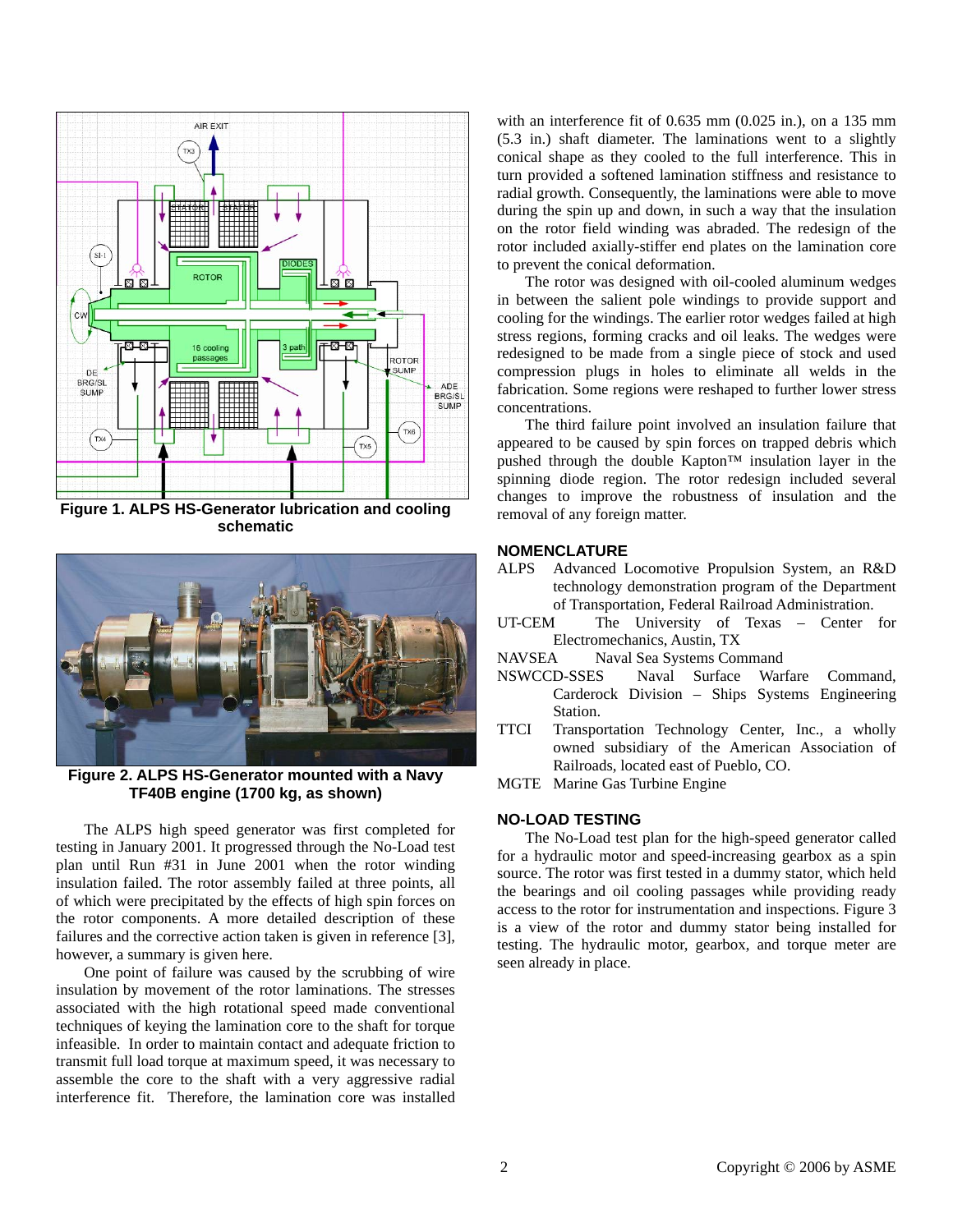

**Figure 1. ALPS HS-Generator lubrication and cooling schematic** 



**Figure 2. ALPS HS-Generator mounted with a Navy TF40B engine (1700 kg, as shown)** 

The ALPS high speed generator was first completed for testing in January 2001. It progressed through the No-Load test plan until Run #31 in June 2001 when the rotor winding insulation failed. The rotor assembly failed at three points, all of which were precipitated by the effects of high spin forces on the rotor components. A more detailed description of these failures and the corrective action taken is given in reference [3], however, a summary is given here.

One point of failure was caused by the scrubbing of wire insulation by movement of the rotor laminations. The stresses associated with the high rotational speed made conventional techniques of keying the lamination core to the shaft for torque infeasible. In order to maintain contact and adequate friction to transmit full load torque at maximum speed, it was necessary to assemble the core to the shaft with a very aggressive radial interference fit. Therefore, the lamination core was installed with an interference fit of 0.635 mm (0.025 in.), on a 135 mm (5.3 in.) shaft diameter. The laminations went to a slightly conical shape as they cooled to the full interference. This in turn provided a softened lamination stiffness and resistance to radial growth. Consequently, the laminations were able to move during the spin up and down, in such a way that the insulation on the rotor field winding was abraded. The redesign of the rotor included axially-stiffer end plates on the lamination core to prevent the conical deformation.

The rotor was designed with oil-cooled aluminum wedges in between the salient pole windings to provide support and cooling for the windings. The earlier rotor wedges failed at high stress regions, forming cracks and oil leaks. The wedges were redesigned to be made from a single piece of stock and used compression plugs in holes to eliminate all welds in the fabrication. Some regions were reshaped to further lower stress concentrations.

The third failure point involved an insulation failure that appeared to be caused by spin forces on trapped debris which pushed through the double Kapton™ insulation layer in the spinning diode region. The rotor redesign included several changes to improve the robustness of insulation and the removal of any foreign matter.

# **NOMENCLATURE**

- ALPS Advanced Locomotive Propulsion System, an R&D technology demonstration program of the Department of Transportation, Federal Railroad Administration.
- UT-CEM The University of Texas Center for Electromechanics, Austin, TX
- NAVSEA Naval Sea Systems Command
- NSWCCD-SSES Naval Surface Warfare Command, Carderock Division – Ships Systems Engineering Station.
- TTCI Transportation Technology Center, Inc., a wholly owned subsidiary of the American Association of Railroads, located east of Pueblo, CO.
- MGTE Marine Gas Turbine Engine

# **NO-LOAD TESTING**

The No-Load test plan for the high-speed generator called for a hydraulic motor and speed-increasing gearbox as a spin source. The rotor was first tested in a dummy stator, which held the bearings and oil cooling passages while providing ready access to the rotor for instrumentation and inspections. Figure 3 is a view of the rotor and dummy stator being installed for testing. The hydraulic motor, gearbox, and torque meter are seen already in place.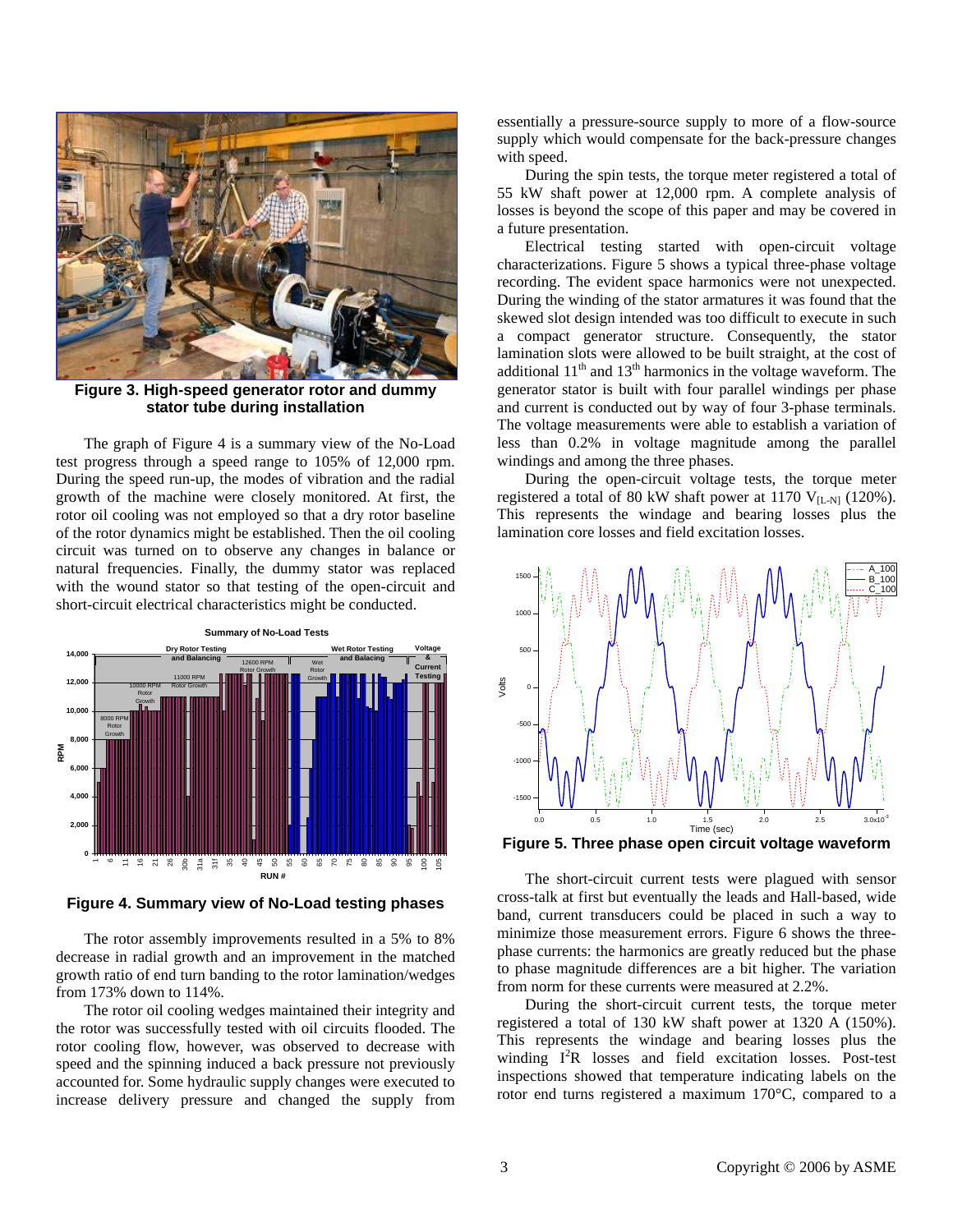

**Figure 3. High-speed generator rotor and dummy stator tube during installation** 

The graph of Figure 4 is a summary view of the No-Load test progress through a speed range to 105% of 12,000 rpm. During the speed run-up, the modes of vibration and the radial growth of the machine were closely monitored. At first, the rotor oil cooling was not employed so that a dry rotor baseline of the rotor dynamics might be established. Then the oil cooling circuit was turned on to observe any changes in balance or natural frequencies. Finally, the dummy stator was replaced with the wound stator so that testing of the open-circuit and short-circuit electrical characteristics might be conducted.



**Figure 4. Summary view of No-Load testing phases** 

The rotor assembly improvements resulted in a 5% to 8% decrease in radial growth and an improvement in the matched growth ratio of end turn banding to the rotor lamination/wedges from 173% down to 114%.

The rotor oil cooling wedges maintained their integrity and the rotor was successfully tested with oil circuits flooded. The rotor cooling flow, however, was observed to decrease with speed and the spinning induced a back pressure not previously accounted for. Some hydraulic supply changes were executed to increase delivery pressure and changed the supply from essentially a pressure-source supply to more of a flow-source supply which would compensate for the back-pressure changes with speed.

During the spin tests, the torque meter registered a total of 55 kW shaft power at 12,000 rpm. A complete analysis of losses is beyond the scope of this paper and may be covered in a future presentation.

Electrical testing started with open-circuit voltage characterizations. Figure 5 shows a typical three-phase voltage recording. The evident space harmonics were not unexpected. During the winding of the stator armatures it was found that the skewed slot design intended was too difficult to execute in such a compact generator structure. Consequently, the stator lamination slots were allowed to be built straight, at the cost of additional  $11<sup>th</sup>$  and  $13<sup>th</sup>$  harmonics in the voltage waveform. The generator stator is built with four parallel windings per phase and current is conducted out by way of four 3-phase terminals. The voltage measurements were able to establish a variation of less than 0.2% in voltage magnitude among the parallel windings and among the three phases.

During the open-circuit voltage tests, the torque meter registered a total of 80 kW shaft power at 1170  $V_{\text{[L-N]}}$  (120%). This represents the windage and bearing losses plus the lamination core losses and field excitation losses.



**Figure 5. Three phase open circuit voltage waveform** 

The short-circuit current tests were plagued with sensor cross-talk at first but eventually the leads and Hall-based, wide band, current transducers could be placed in such a way to minimize those measurement errors. Figure 6 shows the threephase currents: the harmonics are greatly reduced but the phase to phase magnitude differences are a bit higher. The variation from norm for these currents were measured at 2.2%.

During the short-circuit current tests, the torque meter registered a total of 130 kW shaft power at 1320 A (150%). This represents the windage and bearing losses plus the winding I<sup>2</sup>R losses and field excitation losses. Post-test inspections showed that temperature indicating labels on the rotor end turns registered a maximum 170°C, compared to a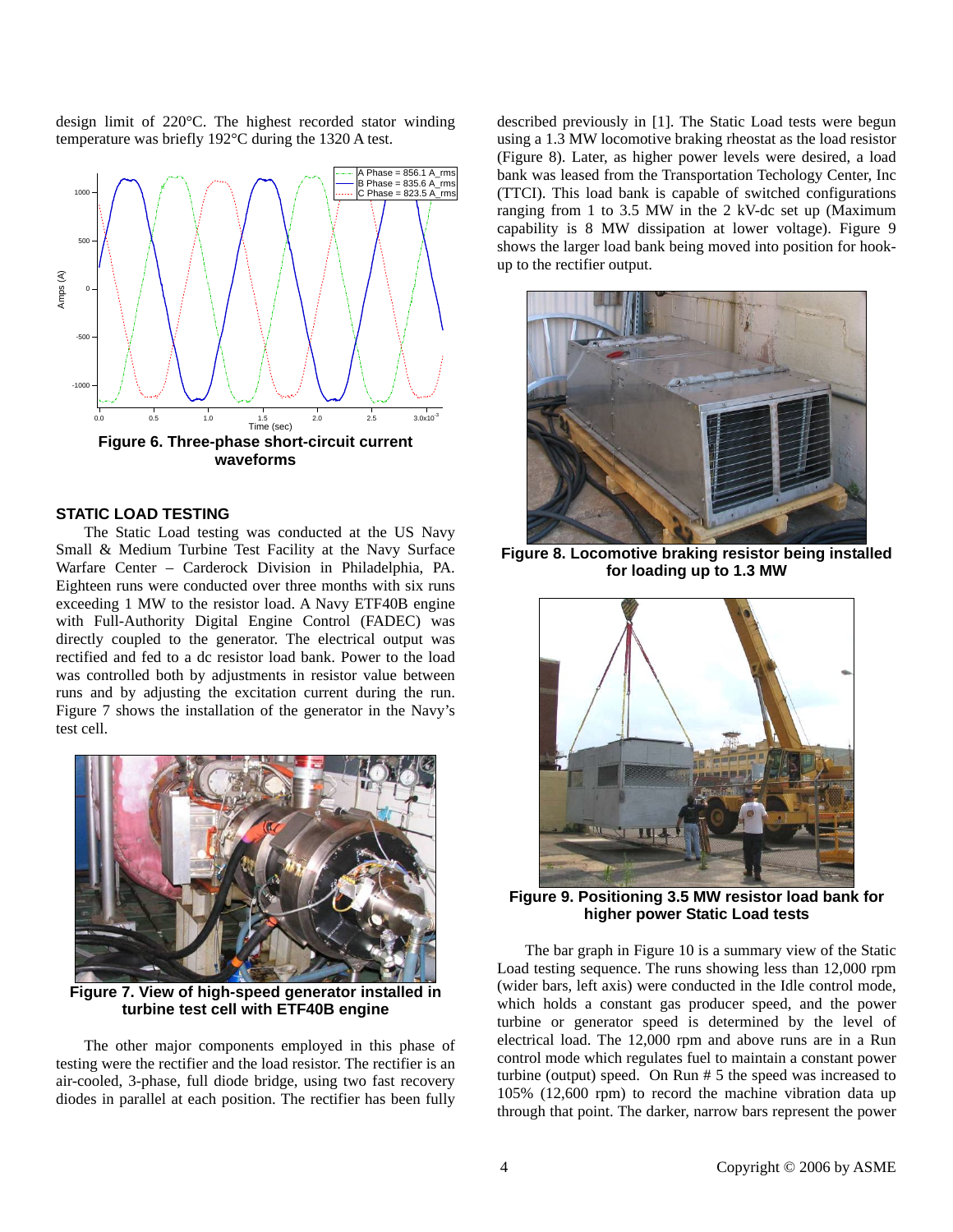design limit of 220°C. The highest recorded stator winding temperature was briefly 192°C during the 1320 A test.



# **STATIC LOAD TESTING**

The Static Load testing was conducted at the US Navy Small & Medium Turbine Test Facility at the Navy Surface Warfare Center – Carderock Division in Philadelphia, PA. Eighteen runs were conducted over three months with six runs exceeding 1 MW to the resistor load. A Navy ETF40B engine with Full-Authority Digital Engine Control (FADEC) was directly coupled to the generator. The electrical output was rectified and fed to a dc resistor load bank. Power to the load was controlled both by adjustments in resistor value between runs and by adjusting the excitation current during the run. Figure 7 shows the installation of the generator in the Navy's test cell.



**Figure 7. View of high-speed generator installed in turbine test cell with ETF40B engine** 

The other major components employed in this phase of testing were the rectifier and the load resistor. The rectifier is an air-cooled, 3-phase, full diode bridge, using two fast recovery diodes in parallel at each position. The rectifier has been fully described previously in [1]. The Static Load tests were begun using a 1.3 MW locomotive braking rheostat as the load resistor (Figure 8). Later, as higher power levels were desired, a load bank was leased from the Transportation Techology Center, Inc (TTCI). This load bank is capable of switched configurations ranging from 1 to 3.5 MW in the 2 kV-dc set up (Maximum capability is 8 MW dissipation at lower voltage). Figure 9 shows the larger load bank being moved into position for hookup to the rectifier output.



**Figure 8. Locomotive braking resistor being installed for loading up to 1.3 MW** 



**Figure 9. Positioning 3.5 MW resistor load bank for higher power Static Load tests** 

The bar graph in Figure 10 is a summary view of the Static Load testing sequence. The runs showing less than 12,000 rpm (wider bars, left axis) were conducted in the Idle control mode, which holds a constant gas producer speed, and the power turbine or generator speed is determined by the level of electrical load. The 12,000 rpm and above runs are in a Run control mode which regulates fuel to maintain a constant power turbine (output) speed. On Run # 5 the speed was increased to 105% (12,600 rpm) to record the machine vibration data up through that point. The darker, narrow bars represent the power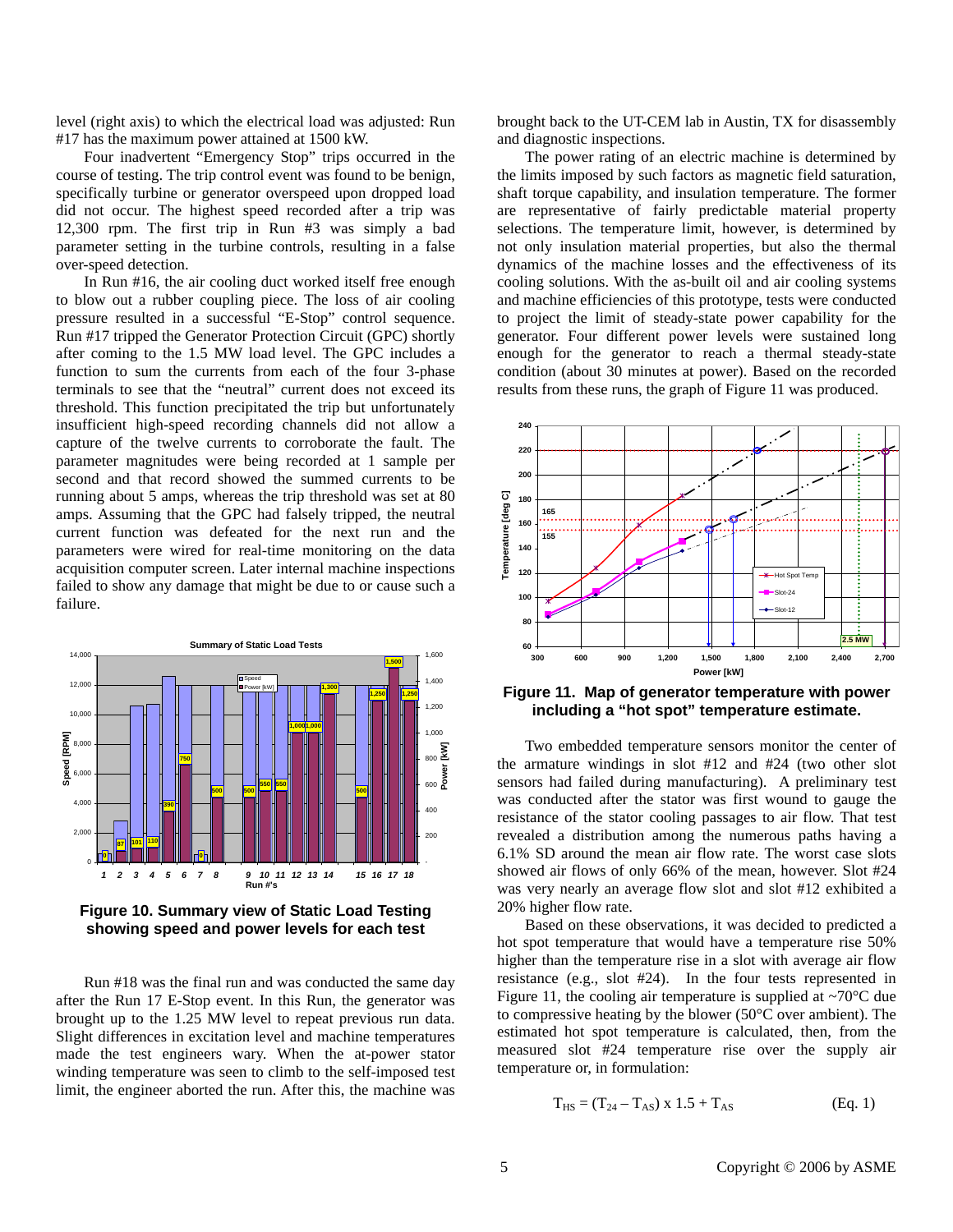level (right axis) to which the electrical load was adjusted: Run #17 has the maximum power attained at 1500 kW.

Four inadvertent "Emergency Stop" trips occurred in the course of testing. The trip control event was found to be benign, specifically turbine or generator overspeed upon dropped load did not occur. The highest speed recorded after a trip was 12,300 rpm. The first trip in Run #3 was simply a bad parameter setting in the turbine controls, resulting in a false over-speed detection.

In Run #16, the air cooling duct worked itself free enough to blow out a rubber coupling piece. The loss of air cooling pressure resulted in a successful "E-Stop" control sequence. Run #17 tripped the Generator Protection Circuit (GPC) shortly after coming to the 1.5 MW load level. The GPC includes a function to sum the currents from each of the four 3-phase terminals to see that the "neutral" current does not exceed its threshold. This function precipitated the trip but unfortunately insufficient high-speed recording channels did not allow a capture of the twelve currents to corroborate the fault. The parameter magnitudes were being recorded at 1 sample per second and that record showed the summed currents to be running about 5 amps, whereas the trip threshold was set at 80 amps. Assuming that the GPC had falsely tripped, the neutral current function was defeated for the next run and the parameters were wired for real-time monitoring on the data acquisition computer screen. Later internal machine inspections failed to show any damage that might be due to or cause such a failure.



**Figure 10. Summary view of Static Load Testing showing speed and power levels for each test** 

Run #18 was the final run and was conducted the same day after the Run 17 E-Stop event. In this Run, the generator was brought up to the 1.25 MW level to repeat previous run data. Slight differences in excitation level and machine temperatures made the test engineers wary. When the at-power stator winding temperature was seen to climb to the self-imposed test limit, the engineer aborted the run. After this, the machine was brought back to the UT-CEM lab in Austin, TX for disassembly and diagnostic inspections.

The power rating of an electric machine is determined by the limits imposed by such factors as magnetic field saturation, shaft torque capability, and insulation temperature. The former are representative of fairly predictable material property selections. The temperature limit, however, is determined by not only insulation material properties, but also the thermal dynamics of the machine losses and the effectiveness of its cooling solutions. With the as-built oil and air cooling systems and machine efficiencies of this prototype, tests were conducted to project the limit of steady-state power capability for the generator. Four different power levels were sustained long enough for the generator to reach a thermal steady-state condition (about 30 minutes at power). Based on the recorded results from these runs, the graph of Figure 11 was produced.



**Figure 11. Map of generator temperature with power including a "hot spot" temperature estimate.** 

Two embedded temperature sensors monitor the center of the armature windings in slot #12 and #24 (two other slot sensors had failed during manufacturing). A preliminary test was conducted after the stator was first wound to gauge the resistance of the stator cooling passages to air flow. That test revealed a distribution among the numerous paths having a 6.1% SD around the mean air flow rate. The worst case slots showed air flows of only 66% of the mean, however. Slot #24 was very nearly an average flow slot and slot #12 exhibited a 20% higher flow rate.

Based on these observations, it was decided to predicted a hot spot temperature that would have a temperature rise 50% higher than the temperature rise in a slot with average air flow resistance (e.g., slot #24). In the four tests represented in Figure 11, the cooling air temperature is supplied at  $\sim 70^{\circ}$ C due to compressive heating by the blower (50°C over ambient). The estimated hot spot temperature is calculated, then, from the measured slot #24 temperature rise over the supply air temperature or, in formulation:

$$
T_{HS} = (T_{24} - T_{AS}) \times 1.5 + T_{AS}
$$
 (Eq. 1)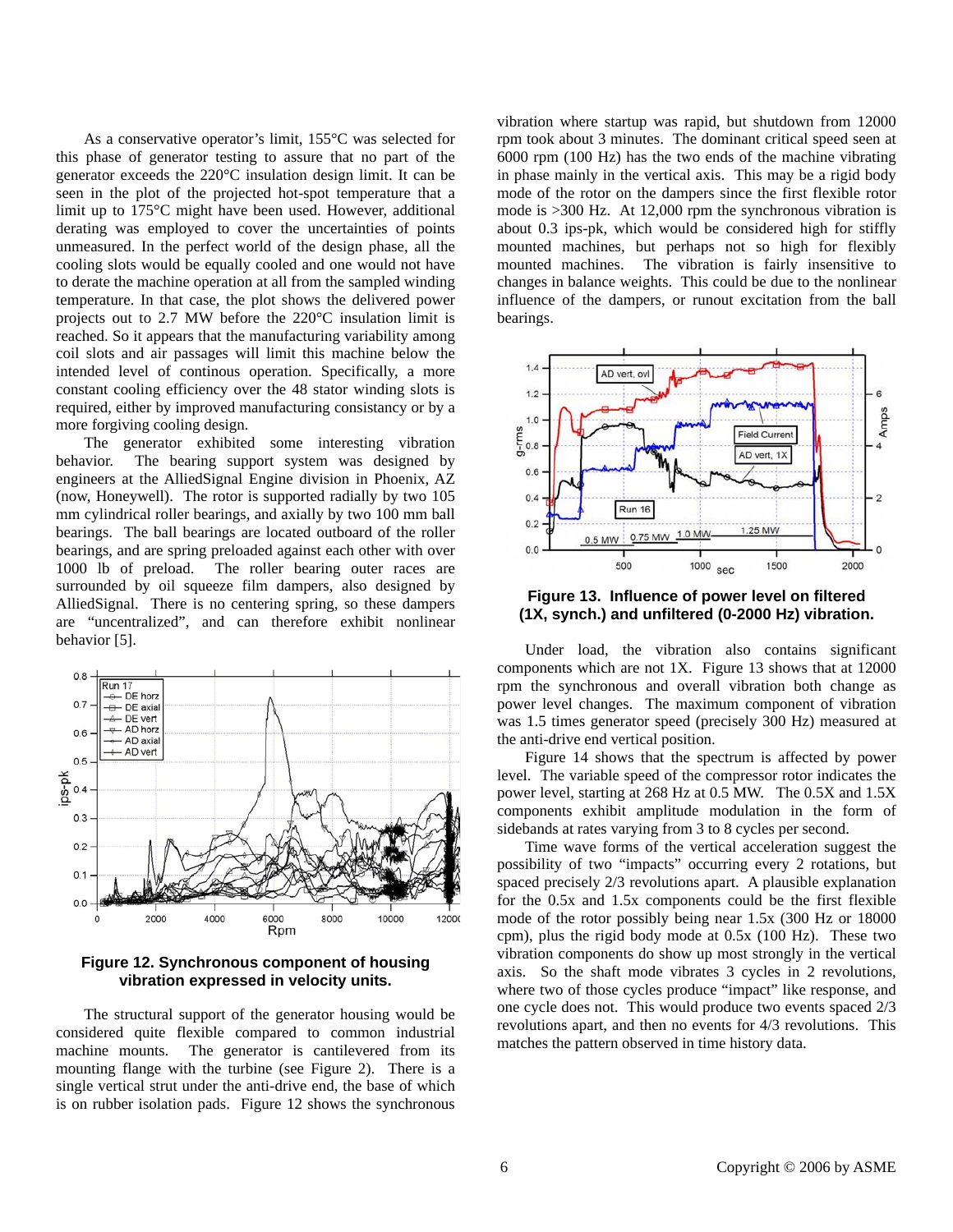As a conservative operator's limit, 155°C was selected for this phase of generator testing to assure that no part of the generator exceeds the 220°C insulation design limit. It can be seen in the plot of the projected hot-spot temperature that a limit up to 175°C might have been used. However, additional derating was employed to cover the uncertainties of points unmeasured. In the perfect world of the design phase, all the cooling slots would be equally cooled and one would not have to derate the machine operation at all from the sampled winding temperature. In that case, the plot shows the delivered power projects out to 2.7 MW before the 220°C insulation limit is reached. So it appears that the manufacturing variability among coil slots and air passages will limit this machine below the intended level of continous operation. Specifically, a more constant cooling efficiency over the 48 stator winding slots is required, either by improved manufacturing consistancy or by a more forgiving cooling design.

The generator exhibited some interesting vibration behavior. The bearing support system was designed by engineers at the AlliedSignal Engine division in Phoenix, AZ (now, Honeywell). The rotor is supported radially by two 105 mm cylindrical roller bearings, and axially by two 100 mm ball bearings. The ball bearings are located outboard of the roller bearings, and are spring preloaded against each other with over 1000 lb of preload. The roller bearing outer races are surrounded by oil squeeze film dampers, also designed by AlliedSignal. There is no centering spring, so these dampers are "uncentralized", and can therefore exhibit nonlinear behavior [5].



**Figure 12. Synchronous component of housing vibration expressed in velocity units.** 

The structural support of the generator housing would be considered quite flexible compared to common industrial machine mounts. The generator is cantilevered from its mounting flange with the turbine (see Figure 2). There is a single vertical strut under the anti-drive end, the base of which is on rubber isolation pads. Figure 12 shows the synchronous

vibration where startup was rapid, but shutdown from 12000 rpm took about 3 minutes. The dominant critical speed seen at 6000 rpm (100 Hz) has the two ends of the machine vibrating in phase mainly in the vertical axis. This may be a rigid body mode of the rotor on the dampers since the first flexible rotor mode is >300 Hz. At 12,000 rpm the synchronous vibration is about 0.3 ips-pk, which would be considered high for stiffly mounted machines, but perhaps not so high for flexibly mounted machines. The vibration is fairly insensitive to changes in balance weights. This could be due to the nonlinear influence of the dampers, or runout excitation from the ball bearings.



**Figure 13. Influence of power level on filtered (1X, synch.) and unfiltered (0-2000 Hz) vibration.** 

Under load, the vibration also contains significant components which are not 1X. Figure 13 shows that at 12000 rpm the synchronous and overall vibration both change as power level changes. The maximum component of vibration was 1.5 times generator speed (precisely 300 Hz) measured at the anti-drive end vertical position.

Figure 14 shows that the spectrum is affected by power level. The variable speed of the compressor rotor indicates the power level, starting at 268 Hz at 0.5 MW. The 0.5X and 1.5X components exhibit amplitude modulation in the form of sidebands at rates varying from 3 to 8 cycles per second.

Time wave forms of the vertical acceleration suggest the possibility of two "impacts" occurring every 2 rotations, but spaced precisely 2/3 revolutions apart. A plausible explanation for the 0.5x and 1.5x components could be the first flexible mode of the rotor possibly being near 1.5x (300 Hz or 18000 cpm), plus the rigid body mode at 0.5x (100 Hz). These two vibration components do show up most strongly in the vertical axis. So the shaft mode vibrates 3 cycles in 2 revolutions, where two of those cycles produce "impact" like response, and one cycle does not. This would produce two events spaced 2/3 revolutions apart, and then no events for 4/3 revolutions. This matches the pattern observed in time history data.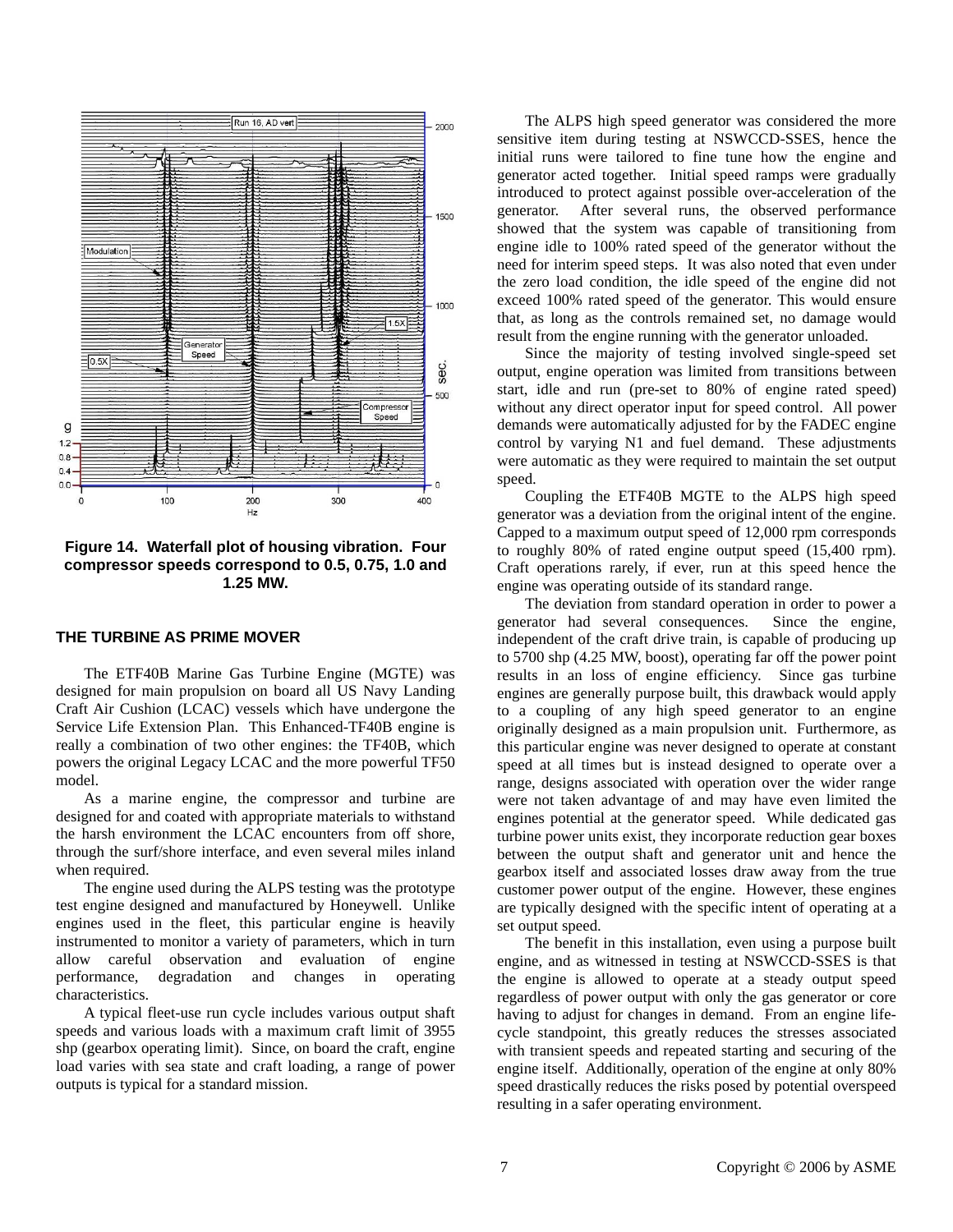

**Figure 14. Waterfall plot of housing vibration. Four compressor speeds correspond to 0.5, 0.75, 1.0 and 1.25 MW.** 

# **THE TURBINE AS PRIME MOVER**

The ETF40B Marine Gas Turbine Engine (MGTE) was designed for main propulsion on board all US Navy Landing Craft Air Cushion (LCAC) vessels which have undergone the Service Life Extension Plan. This Enhanced-TF40B engine is really a combination of two other engines: the TF40B, which powers the original Legacy LCAC and the more powerful TF50 model.

As a marine engine, the compressor and turbine are designed for and coated with appropriate materials to withstand the harsh environment the LCAC encounters from off shore, through the surf/shore interface, and even several miles inland when required.

The engine used during the ALPS testing was the prototype test engine designed and manufactured by Honeywell. Unlike engines used in the fleet, this particular engine is heavily instrumented to monitor a variety of parameters, which in turn allow careful observation and evaluation of engine performance, degradation and changes in operating characteristics.

A typical fleet-use run cycle includes various output shaft speeds and various loads with a maximum craft limit of 3955 shp (gearbox operating limit). Since, on board the craft, engine load varies with sea state and craft loading, a range of power outputs is typical for a standard mission.

The ALPS high speed generator was considered the more sensitive item during testing at NSWCCD-SSES, hence the initial runs were tailored to fine tune how the engine and generator acted together. Initial speed ramps were gradually introduced to protect against possible over-acceleration of the generator. After several runs, the observed performance showed that the system was capable of transitioning from engine idle to 100% rated speed of the generator without the need for interim speed steps. It was also noted that even under the zero load condition, the idle speed of the engine did not exceed 100% rated speed of the generator. This would ensure that, as long as the controls remained set, no damage would result from the engine running with the generator unloaded.

Since the majority of testing involved single-speed set output, engine operation was limited from transitions between start, idle and run (pre-set to 80% of engine rated speed) without any direct operator input for speed control. All power demands were automatically adjusted for by the FADEC engine control by varying N1 and fuel demand. These adjustments were automatic as they were required to maintain the set output speed.

Coupling the ETF40B MGTE to the ALPS high speed generator was a deviation from the original intent of the engine. Capped to a maximum output speed of 12,000 rpm corresponds to roughly 80% of rated engine output speed (15,400 rpm). Craft operations rarely, if ever, run at this speed hence the engine was operating outside of its standard range.

The deviation from standard operation in order to power a generator had several consequences. Since the engine, independent of the craft drive train, is capable of producing up to 5700 shp (4.25 MW, boost), operating far off the power point results in an loss of engine efficiency. Since gas turbine engines are generally purpose built, this drawback would apply to a coupling of any high speed generator to an engine originally designed as a main propulsion unit. Furthermore, as this particular engine was never designed to operate at constant speed at all times but is instead designed to operate over a range, designs associated with operation over the wider range were not taken advantage of and may have even limited the engines potential at the generator speed. While dedicated gas turbine power units exist, they incorporate reduction gear boxes between the output shaft and generator unit and hence the gearbox itself and associated losses draw away from the true customer power output of the engine. However, these engines are typically designed with the specific intent of operating at a set output speed.

The benefit in this installation, even using a purpose built engine, and as witnessed in testing at NSWCCD-SSES is that the engine is allowed to operate at a steady output speed regardless of power output with only the gas generator or core having to adjust for changes in demand. From an engine lifecycle standpoint, this greatly reduces the stresses associated with transient speeds and repeated starting and securing of the engine itself. Additionally, operation of the engine at only 80% speed drastically reduces the risks posed by potential overspeed resulting in a safer operating environment.